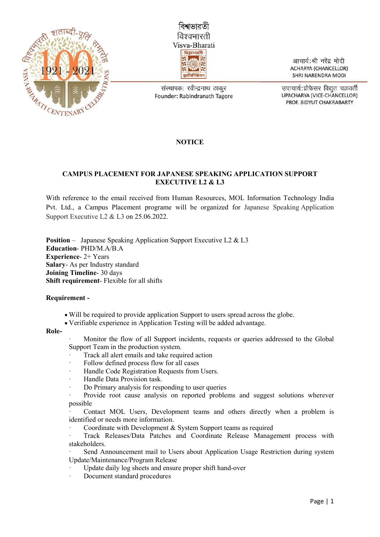



संस्थापक: रवीन्द्रनाथ ठाकर Founder: Rabindranath Tagore

आचार्य:श्री नरेंद्र मोदी **ACHARYA (CHANCELLOR)** SHRI NARENDRA MODI

उपाचार्य:प्रोफेसर विद्युत चक्रवर्ती UPACHARYA (VICE-CHANCELLOR) PROF. BIDYUT CHAKRABARTY

## **NOTICE**

## CAMPUS PLACEMENT FOR JAPANESE SPEAKING APPLICATION SUPPORT EXECUTIVE L2 & L3

With reference to the email received from Human Resources, MOL Information Technology India Pvt. Ltd., a Campus Placement programe will be organized for Japanese Speaking Application Support Executive L2 & L3 on 25.06.2022.

Position – Japanese Speaking Application Support Executive L2 & L3 Education- PHD/M.A/B.A Experience- 2+ Years Salary- As per Industry standard Joining Timeline- 30 days Shift requirement- Flexible for all shifts

## Requirement -

- Will be required to provide application Support to users spread across the globe.
- Verifiable experience in Application Testing will be added advantage.

## Role-

- · Monitor the flow of all Support incidents, requests or queries addressed to the Global Support Team in the production system.
- Track all alert emails and take required action
- Follow defined process flow for all cases
- Handle Code Registration Requests from Users.
- Handle Data Provision task.
- Do Primary analysis for responding to user queries
- · Provide root cause analysis on reported problems and suggest solutions wherever possible
- Contact MOL Users, Development teams and others directly when a problem is identified or needs more information.
- Coordinate with Development & System Support teams as required
- Track Releases/Data Patches and Coordinate Release Management process with stakeholders.
- Send Announcement mail to Users about Application Usage Restriction during system Update/Maintenance/Program Release
- Update daily log sheets and ensure proper shift hand-over
- Document standard procedures